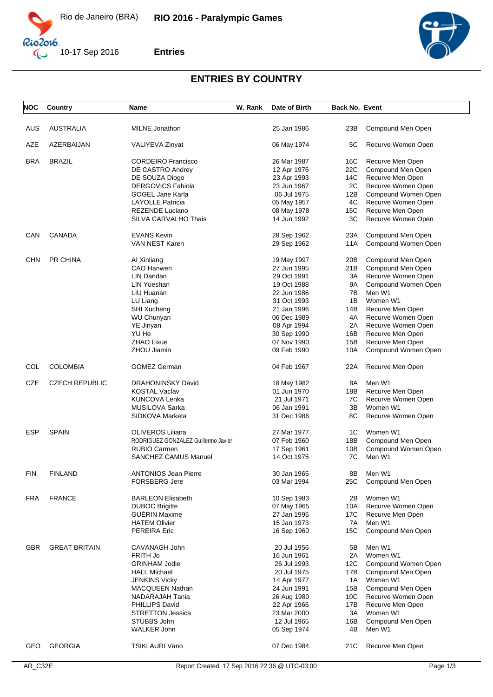

 $\mathbb{C}$ 

 $10-17$  Sep 2016



**Entries**

## **ENTRIES BY COUNTRY**

| NOC        | Country               | Name                                | W. Rank | Date of Birth | <b>Back No. Event</b> |                     |
|------------|-----------------------|-------------------------------------|---------|---------------|-----------------------|---------------------|
|            |                       |                                     |         |               |                       |                     |
| AUS        | <b>AUSTRALIA</b>      | <b>MILNE</b> Jonathon               |         | 25 Jan 1986   | 23B                   | Compound Men Open   |
|            |                       |                                     |         |               |                       |                     |
| AZE        | AZERBAIJAN            | VALIYEVA Zinyat                     |         | 06 May 1974   | 5C                    | Recurve Women Open  |
|            |                       |                                     |         |               |                       |                     |
| <b>BRA</b> | <b>BRAZIL</b>         | <b>CORDEIRO Francisco</b>           |         | 26 Mar 1987   | 16C                   | Recurve Men Open    |
|            |                       | DE CASTRO Andrey                    |         | 12 Apr 1976   | 22C                   | Compound Men Open   |
|            |                       | DE SOUZA Diogo                      |         | 23 Apr 1993   | 14C                   | Recurve Men Open    |
|            |                       | <b>DERGOVICS Fabiola</b>            |         | 23 Jun 1967   | 2C                    | Recurve Women Open  |
|            |                       | <b>GOGEL Jane Karla</b>             |         | 06 Jul 1975   | 12B                   | Compound Women Open |
|            |                       | <b>LAYOLLE Patricia</b>             |         | 05 May 1957   | 4C                    | Recurve Women Open  |
|            |                       | REZENDE Luciano                     |         | 08 May 1978   | 15C                   | Recurve Men Open    |
|            |                       | SILVA CARVALHO Thais                |         | 14 Jun 1992   | ЗC                    | Recurve Women Open  |
| CAN        | <b>CANADA</b>         | <b>EVANS Kevin</b>                  |         | 28 Sep 1962   | 23A                   | Compound Men Open   |
|            |                       | VAN NEST Karen                      |         | 29 Sep 1962   | 11A                   | Compound Women Open |
|            |                       |                                     |         |               |                       |                     |
| <b>CHN</b> | PR CHINA              | Al Xinliang                         |         | 19 May 1997   | 20B                   | Compound Men Open   |
|            |                       | CAO Hanwen                          |         | 27 Jun 1995   | 21B                   | Compound Men Open   |
|            |                       | LIN Dandan                          |         | 29 Oct 1991   | 3A                    | Recurve Women Open  |
|            |                       | <b>LIN Yueshan</b>                  |         | 19 Oct 1988   | 9A                    | Compound Women Open |
|            |                       | LIU Huanan                          |         | 22 Jun 1986   | 7B                    | Men W1              |
|            |                       |                                     |         |               |                       |                     |
|            |                       | LU Liang                            |         | 31 Oct 1993   | 1B                    | Women W1            |
|            |                       | <b>SHI Xucheng</b>                  |         | 21 Jan 1996   | 14B                   | Recurve Men Open    |
|            |                       | WU Chunyan                          |         | 06 Dec 1989   | 4A                    | Recurve Women Open  |
|            |                       | YE Jinyan                           |         | 08 Apr 1994   | 2A                    | Recurve Women Open  |
|            |                       | YU He                               |         | 30 Sep 1990   | 16B                   | Recurve Men Open    |
|            |                       | <b>ZHAO Lixue</b>                   |         | 07 Nov 1990   | 15B                   | Recurve Men Open    |
|            |                       | ZHOU Jiamin                         |         | 09 Feb 1990   | 10A                   | Compound Women Open |
| COL        | <b>COLOMBIA</b>       | <b>GOMEZ German</b>                 |         | 04 Feb 1967   | 22A                   | Recurve Men Open    |
| <b>CZE</b> | <b>CZECH REPUBLIC</b> | <b>DRAHONINSKY David</b>            |         | 18 May 1982   | 8A                    | Men W1              |
|            |                       | <b>KOSTAL Vaclav</b>                |         | 01 Jun 1970   | 18B                   | Recurve Men Open    |
|            |                       |                                     |         | 21 Jul 1971   | 7C                    |                     |
|            |                       | KUNCOVA Lenka                       |         |               |                       | Recurve Women Open  |
|            |                       | MUSILOVA Sarka                      |         | 06 Jan 1991   | 3B                    | Women W1            |
|            |                       | SIDKOVA Marketa                     |         | 31 Dec 1986   | 8C                    | Recurve Women Open  |
| <b>ESP</b> | <b>SPAIN</b>          | OLIVEROS Liliana                    |         | 27 Mar 1977   | 1C                    | Women W1            |
|            |                       | RODRIGUEZ GONZALEZ Guillermo Javier |         | 07 Feb 1960   | 18B                   | Compound Men Open   |
|            |                       | <b>RUBIO Carmen</b>                 |         | 17 Sep 1961   | 10B                   | Compound Women Open |
|            |                       | <b>SANCHEZ CAMUS Manuel</b>         |         | 14 Oct 1975   | 7C                    | Men W1              |
|            |                       |                                     |         |               |                       |                     |
| FIN        | <b>FINLAND</b>        | <b>ANTONIOS Jean Pierre</b>         |         | 30 Jan 1965   | 8Β                    | Men W1              |
|            |                       | <b>FORSBERG Jere</b>                |         | 03 Mar 1994   | 25C                   | Compound Men Open   |
| FRA        | <b>FRANCE</b>         | <b>BARLEON Elisabeth</b>            |         | 10 Sep 1983   | 2Β                    | Women W1            |
|            |                       | <b>DUBOC Brigitte</b>               |         | 07 May 1965   | 10A                   | Recurve Women Open  |
|            |                       | <b>GUÉRIN Maxime</b>                |         | 27 Jan 1995   | 17C                   | Recurve Men Open    |
|            |                       | <b>HATEM Olivier</b>                |         | 15 Jan 1973   | 7A                    | Men W1              |
|            |                       | <b>PEREIRA Eric</b>                 |         | 16 Sep 1960   | 15C                   | Compound Men Open   |
|            |                       |                                     |         |               |                       |                     |
| <b>GBR</b> | <b>GREAT BRITAIN</b>  | CAVANAGH John                       |         | 20 Jul 1956   | 5Β                    | Men W1              |
|            |                       | FRITH Jo                            |         | 16 Jun 1961   | 2A                    | Women W1            |
|            |                       | <b>GRINHAM Jodie</b>                |         | 26 Jul 1993   | 12C                   | Compound Women Open |
|            |                       | <b>HALL Michael</b>                 |         | 20 Jul 1975   | 17B                   | Compound Men Open   |
|            |                       | <b>JENKINS Vicky</b>                |         | 14 Apr 1977   | 1A                    | Women W1            |
|            |                       | MACQUEEN Nathan                     |         | 24 Jun 1991   | 15B                   | Compound Men Open   |
|            |                       | NADARAJAH Tania                     |         | 26 Aug 1980   | 10C                   | Recurve Women Open  |
|            |                       | <b>PHILLIPS David</b>               |         | 22 Apr 1966   | 17B                   | Recurve Men Open    |
|            |                       | <b>STRETTON Jessica</b>             |         | 23 Mar 2000   | ЗA                    | Women W1            |
|            |                       | STUBBS John                         |         | 12 Jul 1965   | 16B                   | Compound Men Open   |
|            |                       | WALKER John                         |         | 05 Sep 1974   | 4B                    | Men W1              |
|            |                       |                                     |         |               |                       |                     |
| GEO        | <b>GEORGIA</b>        | <b>TSIKLAURI Vano</b>               |         | 07 Dec 1984   | 21C                   | Recurve Men Open    |
|            |                       |                                     |         |               |                       |                     |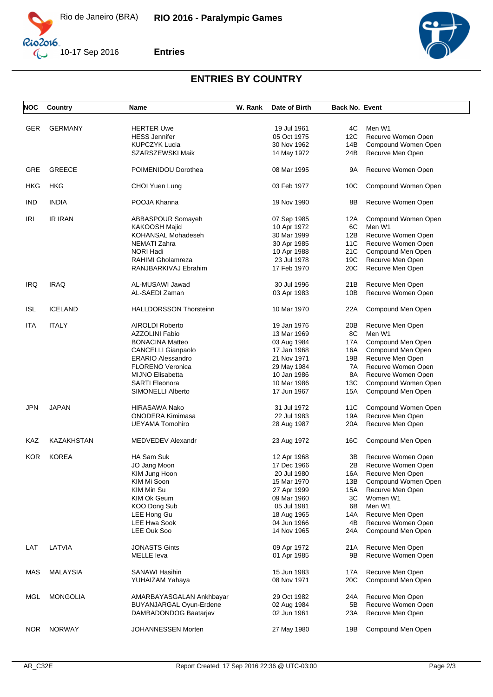

 $\mathbb{C}$ 

**Entries**

10-17 Sep 2016



## **ENTRIES BY COUNTRY**

| NOC        | Country         | Name                           | W. Rank | Date of Birth              | <b>Back No. Event</b> |                     |
|------------|-----------------|--------------------------------|---------|----------------------------|-----------------------|---------------------|
|            |                 |                                |         |                            |                       |                     |
| <b>GER</b> | <b>GERMANY</b>  | <b>HERTER Uwe</b>              |         | 19 Jul 1961                | 4C                    | Men W1              |
|            |                 | <b>HESS Jennifer</b>           |         | 05 Oct 1975                | 12C                   | Recurve Women Open  |
|            |                 | <b>KUPCZYK Lucia</b>           |         | 30 Nov 1962                | 14B                   | Compound Women Open |
|            |                 | SZARSZEWSKI Maik               |         | 14 May 1972                | 24B                   | Recurve Men Open    |
| <b>GRE</b> | <b>GREECE</b>   | POIMENIDOU Dorothea            |         | 08 Mar 1995                | 9Α                    | Recurve Women Open  |
| HKG        | HKG             | CHOI Yuen Lung                 |         | 03 Feb 1977                | 10C                   | Compound Women Open |
| <b>IND</b> | <b>INDIA</b>    | POOJA Khanna                   |         | 19 Nov 1990                | 8Β                    | Recurve Women Open  |
| IRI        | <b>IR IRAN</b>  | ABBASPOUR Somayeh              |         | 07 Sep 1985                | 12A                   | Compound Women Open |
|            |                 | KAKOOSH Majid                  |         | 10 Apr 1972                | 6C                    | Men W1              |
|            |                 | KOHANSAL Mohadeseh             |         | 30 Mar 1999                | 12B                   | Recurve Women Open  |
|            |                 | NEMATI Zahra                   |         | 30 Apr 1985                | 11C                   | Recurve Women Open  |
|            |                 | NORI Hadi                      |         | 10 Apr 1988                | 21C                   | Compound Men Open   |
|            |                 | RAHIMI Gholamreza              |         | 23 Jul 1978                | 19C                   | Recurve Men Open    |
|            |                 | RANJBARKIVAJ Ebrahim           |         | 17 Feb 1970                | 20C                   | Recurve Men Open    |
|            |                 |                                |         |                            |                       |                     |
| <b>IRQ</b> | <b>IRAQ</b>     | AL-MUSAWI Jawad                |         | 30 Jul 1996                | 21B                   | Recurve Men Open    |
|            |                 | AL-SAEDI Zaman                 |         | 03 Apr 1983                | 10B                   | Recurve Women Open  |
| <b>ISL</b> | <b>ICELAND</b>  | <b>HALLDORSSON Thorsteinn</b>  |         | 10 Mar 1970                | 22A                   | Compound Men Open   |
| ITA        | <b>ITALY</b>    | AIROLDI Roberto                |         | 19 Jan 1976                | 20B                   | Recurve Men Open    |
|            |                 | <b>AZZOLINI Fabio</b>          |         | 13 Mar 1969                | 8C                    | Men W1              |
|            |                 |                                |         |                            |                       |                     |
|            |                 | <b>BONACINA Matteo</b>         |         | 03 Aug 1984                | 17A                   | Compound Men Open   |
|            |                 | <b>CANCELLI Gianpaolo</b>      |         | 17 Jan 1968                | 16A                   | Compound Men Open   |
|            |                 | <b>ERARIO Alessandro</b>       |         | 21 Nov 1971                | 19B                   | Recurve Men Open    |
|            |                 | <b>FLORENO Veronica</b>        |         | 29 May 1984                | 7A                    | Recurve Women Open  |
|            |                 | <b>MIJNO Elisabetta</b>        |         | 10 Jan 1986                | 8A                    | Recurve Women Open  |
|            |                 | <b>SARTI Eleonora</b>          |         | 10 Mar 1986                | 13C                   | Compound Women Open |
|            |                 | SIMONELLI Alberto              |         | 17 Jun 1967                | 15A                   | Compound Men Open   |
| JPN        | <b>JAPAN</b>    | HIRASAWA Nako                  |         | 31 Jul 1972                | 11C                   | Compound Women Open |
|            |                 | <b>ONODERA Kimimasa</b>        |         | 22 Jul 1983                | 19A                   | Recurve Men Open    |
|            |                 | <b>UEYAMA Tomohiro</b>         |         | 28 Aug 1987                | 20A                   | Recurve Men Open    |
| KAZ        | KAZAKHSTAN      | MEDVEDEV Alexandr              |         | 23 Aug 1972                | 16C                   | Compound Men Open   |
| <b>KOR</b> | <b>KOREA</b>    | HA Sam Suk                     |         | 12 Apr 1968                | 3B                    | Recurve Women Open  |
|            |                 | JO Jang Moon                   |         | 17 Dec 1966                | 2B                    | Recurve Women Open  |
|            |                 | KIM Jung Hoon                  |         | 20 Jul 1980                | 16A                   | Recurve Men Open    |
|            |                 | KIM Mi Soon                    |         | 15 Mar 1970                | 13B                   | Compound Women Open |
|            |                 | KIM Min Su                     |         | 27 Apr 1999                | 15A                   | Recurve Men Open    |
|            |                 | KIM Ok Geum                    |         | 09 Mar 1960                | ЗC                    | Women W1            |
|            |                 | KOO Dong Sub                   |         | 05 Jul 1981                | 6B                    | Men W1              |
|            |                 |                                |         |                            |                       | Recurve Men Open    |
|            |                 | LEE Hong Gu                    |         | 18 Aug 1965<br>04 Jun 1966 | 14A                   |                     |
|            |                 | <b>LEE Hwa Sook</b>            |         |                            | 4B                    | Recurve Women Open  |
|            |                 | <b>LEE Ouk Soo</b>             |         | 14 Nov 1965                | 24A                   | Compound Men Open   |
| LAT        | LATVIA          | <b>JONASTS Gints</b>           |         | 09 Apr 1972                | 21 A                  | Recurve Men Open    |
|            |                 | <b>MELLE</b> leva              |         | 01 Apr 1985                | 9Β                    | Recurve Women Open  |
| MAS        | <b>MALAYSIA</b> | SANAWI Hasihin                 |         | 15 Jun 1983                | 17A                   | Recurve Men Open    |
|            |                 | YUHAIZAM Yahaya                |         | 08 Nov 1971                | 20 <sub>C</sub>       | Compound Men Open   |
| <b>MGL</b> | <b>MONGOLIA</b> | AMARBAYASGALAN Ankhbayar       |         | 29 Oct 1982                | 24A                   | Recurve Men Open    |
|            |                 | <b>BUYANJARGAL Oyun-Erdene</b> |         | 02 Aug 1984                | 5B                    | Recurve Women Open  |
|            |                 |                                |         |                            |                       |                     |
|            |                 | DAMBADONDOG Baatarjav          |         | 02 Jun 1961                | 23A                   | Recurve Men Open    |
| NOR        | <b>NORWAY</b>   | JOHANNESSEN Morten             |         | 27 May 1980                | 19B                   | Compound Men Open   |